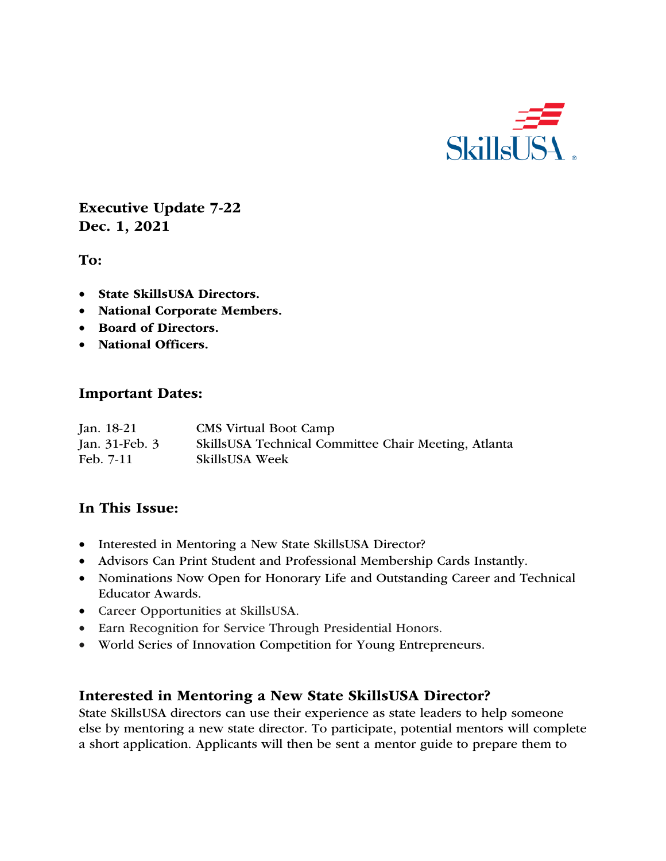

Executive Update 7-22 Dec. 1, 2021

To:

- State SkillsUSA Directors.
- National Corporate Members.
- Board of Directors.
- National Officers.

### Important Dates:

| Jan. 18-21     | <b>CMS</b> Virtual Boot Camp                         |
|----------------|------------------------------------------------------|
| Jan. 31-Feb. 3 | SkillsUSA Technical Committee Chair Meeting, Atlanta |
| Feb. 7-11      | <b>SkillsUSA Week</b>                                |

## In This Issue:

- Interested in Mentoring a New State SkillsUSA Director?
- Advisors Can Print Student and Professional Membership Cards Instantly.
- Nominations Now Open for Honorary Life and Outstanding Career and Technical Educator Awards.
- Career Opportunities at SkillsUSA.
- Earn Recognition for Service Through Presidential Honors.
- World Series of Innovation Competition for Young Entrepreneurs.

### Interested in Mentoring a New State SkillsUSA Director?

State SkillsUSA directors can use their experience as state leaders to help someone else by mentoring a new state director. To participate, potential mentors will complete a short application. Applicants will then be sent a mentor guide to prepare them to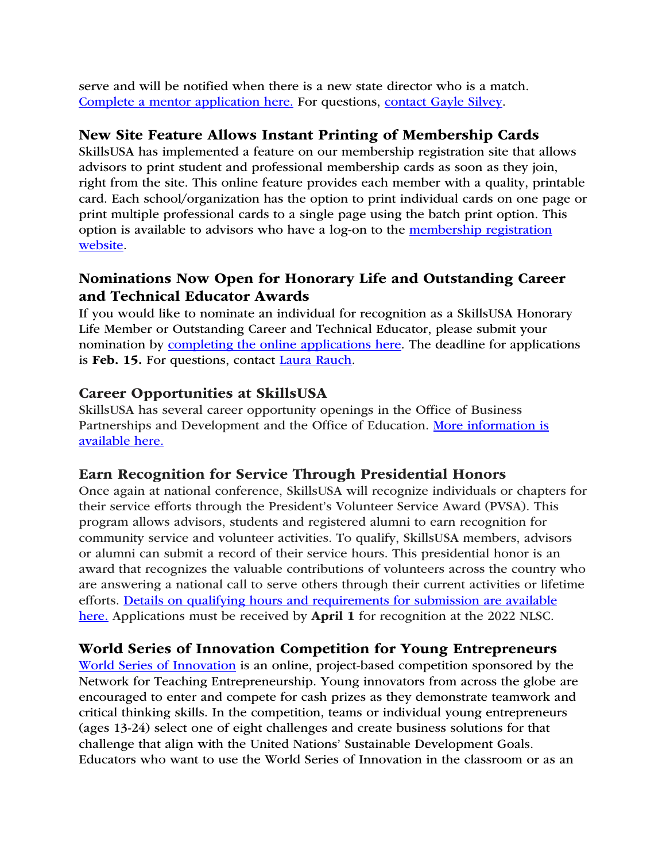serve and will be notified when there is a new state director who is a match. Complete a mentor application here. For questions, contact Gayle Silvey.

## New Site Feature Allows Instant Printing of Membership Cards

SkillsUSA has implemented a feature on our membership registration site that allows advisors to print student and professional membership cards as soon as they join, right from the site. This online feature provides each member with a quality, printable card. Each school/organization has the option to print individual cards on one page or print multiple professional cards to a single page using the batch print option. This option is available to advisors who have a log-on to the membership registration website.

# Nominations Now Open for Honorary Life and Outstanding Career and Technical Educator Awards

If you would like to nominate an individual for recognition as a SkillsUSA Honorary Life Member or Outstanding Career and Technical Educator, please submit your nomination by completing the online applications here. The deadline for applications is Feb. 15. For questions, contact Laura Rauch.

### Career Opportunities at SkillsUSA

SkillsUSA has several career opportunity openings in the Office of Business Partnerships and Development and the Office of Education. More information is available here.

### Earn Recognition for Service Through Presidential Honors

Once again at national conference, SkillsUSA will recognize individuals or chapters for their service efforts through the President's Volunteer Service Award (PVSA). This program allows advisors, students and registered alumni to earn recognition for community service and volunteer activities. To qualify, SkillsUSA members, advisors or alumni can submit a record of their service hours. This presidential honor is an award that recognizes the valuable contributions of volunteers across the country who are answering a national call to serve others through their current activities or lifetime efforts. Details on qualifying hours and requirements for submission are available here. Applications must be received by **April 1** for recognition at the 2022 NLSC.

### World Series of Innovation Competition for Young Entrepreneurs

World Series of Innovation is an online, project-based competition sponsored by the Network for Teaching Entrepreneurship. Young innovators from across the globe are encouraged to enter and compete for cash prizes as they demonstrate teamwork and critical thinking skills. In the competition, teams or individual young entrepreneurs (ages 13-24) select one of eight challenges and create business solutions for that challenge that align with the United Nations' Sustainable Development Goals. Educators who want to use the World Series of Innovation in the classroom or as an